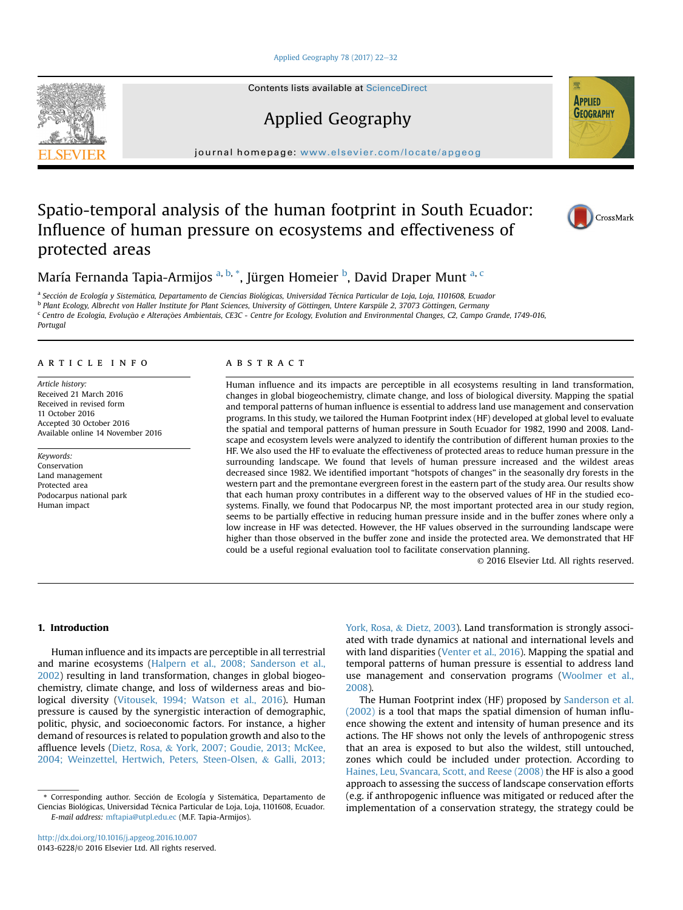[Applied Geography 78 \(2017\) 22](http://dx.doi.org/10.1016/j.apgeog.2016.10.007)-[32](http://dx.doi.org/10.1016/j.apgeog.2016.10.007)

Contents lists available at ScienceDirect

Applied Geography

journal homepage: [www.elsevier.com/locate/apgeog](http://www.elsevier.com/locate/apgeog)

# Spatio-temporal analysis of the human footprint in South Ecuador: Influence of human pressure on ecosystems and effectiveness of protected areas

María Fernanda Tapia-Armijos <sup>a, b,</sup> \*, Jürgen Homeier <sup>b</sup>, David Draper Munt <sup>a, c</sup>

<sup>a</sup> Sección de Ecología y Sistemática, Departamento de Ciencias Biológicas, Universidad Técnica Particular de Loja, Loja, 1101608, Ecuador

b Plant Ecology, Albrecht von Haller Institute for Plant Sciences, University of Gottingen, Untere Karspüle 2, 37073 Göttingen, Germany

<sup>c</sup> Centro de Ecologia, Evolução e Alterações Ambientais, CE3C - Centre for Ecology, Evolution and Environmental Changes, C2, Campo Grande, 1749-016,

Portugal

#### article info

Article history: Received 21 March 2016 Received in revised form 11 October 2016 Accepted 30 October 2016 Available online 14 November 2016

Keywords: Conservation Land management Protected area Podocarpus national park Human impact

#### **ABSTRACT**

Human influence and its impacts are perceptible in all ecosystems resulting in land transformation, changes in global biogeochemistry, climate change, and loss of biological diversity. Mapping the spatial and temporal patterns of human influence is essential to address land use management and conservation programs. In this study, we tailored the Human Footprint index (HF) developed at global level to evaluate the spatial and temporal patterns of human pressure in South Ecuador for 1982, 1990 and 2008. Landscape and ecosystem levels were analyzed to identify the contribution of different human proxies to the HF. We also used the HF to evaluate the effectiveness of protected areas to reduce human pressure in the surrounding landscape. We found that levels of human pressure increased and the wildest areas decreased since 1982. We identified important "hotspots of changes" in the seasonally dry forests in the western part and the premontane evergreen forest in the eastern part of the study area. Our results show that each human proxy contributes in a different way to the observed values of HF in the studied ecosystems. Finally, we found that Podocarpus NP, the most important protected area in our study region, seems to be partially effective in reducing human pressure inside and in the buffer zones where only a low increase in HF was detected. However, the HF values observed in the surrounding landscape were higher than those observed in the buffer zone and inside the protected area. We demonstrated that HF could be a useful regional evaluation tool to facilitate conservation planning.

© 2016 Elsevier Ltd. All rights reserved.

## 1. Introduction

Human influence and its impacts are perceptible in all terrestrial and marine ecosystems [\(Halpern et al., 2008; Sanderson et al.,](#page--1-0) [2002](#page--1-0)) resulting in land transformation, changes in global biogeochemistry, climate change, and loss of wilderness areas and biological diversity ([Vitousek, 1994; Watson et al., 2016](#page--1-0)). Human pressure is caused by the synergistic interaction of demographic, politic, physic, and socioeconomic factors. For instance, a higher demand of resources is related to population growth and also to the affluence levels ([Dietz, Rosa,](#page--1-0) & [York, 2007; Goudie, 2013; McKee,](#page--1-0) [2004; Weinzettel, Hertwich, Peters, Steen-Olsen,](#page--1-0) & [Galli, 2013;](#page--1-0) [York, Rosa,](#page--1-0) & [Dietz, 2003\)](#page--1-0). Land transformation is strongly associated with trade dynamics at national and international levels and with land disparities [\(Venter et al., 2016\)](#page--1-0). Mapping the spatial and temporal patterns of human pressure is essential to address land use management and conservation programs [\(Woolmer et al.,](#page--1-0) [2008](#page--1-0)).

The Human Footprint index (HF) proposed by [Sanderson et al.](#page--1-0) [\(2002\)](#page--1-0) is a tool that maps the spatial dimension of human influence showing the extent and intensity of human presence and its actions. The HF shows not only the levels of anthropogenic stress that an area is exposed to but also the wildest, still untouched, zones which could be included under protection. According to [Haines, Leu, Svancara, Scott, and Reese \(2008\)](#page--1-0) the HF is also a good approach to assessing the success of landscape conservation efforts (e.g. if anthropogenic influence was mitigated or reduced after the implementation of a conservation strategy, the strategy could be





**APPLIED GEOGRAPHY** 

<sup>\*</sup> Corresponding author. Sección de Ecología y Sistemática, Departamento de Ciencias Biológicas, Universidad Técnica Particular de Loja, Loja, 1101608, Ecuador. E-mail address: [mftapia@utpl.edu.ec](mailto:mftapia@utpl.edu.ec) (M.F. Tapia-Armijos).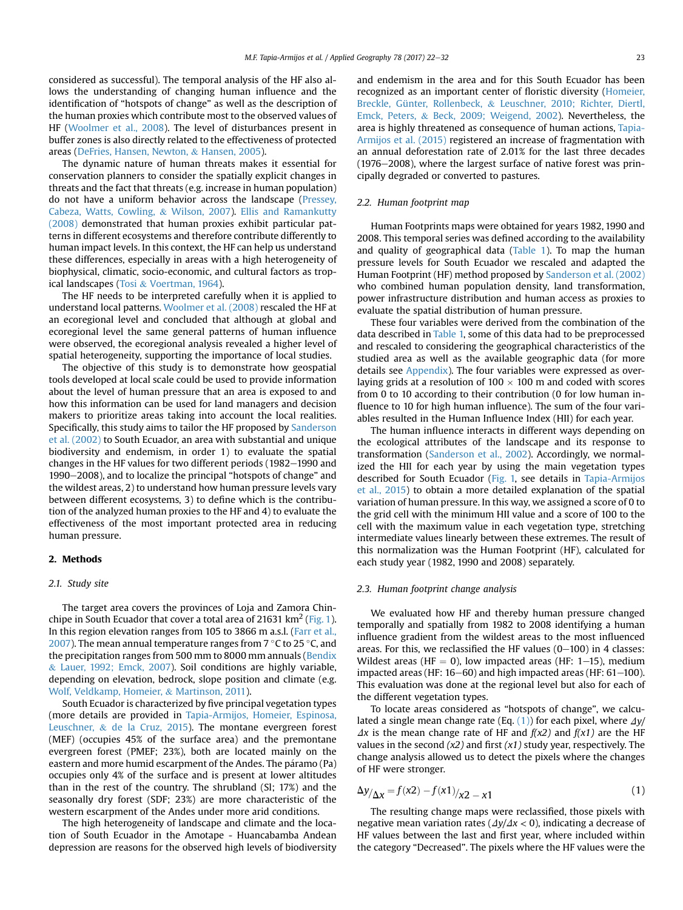considered as successful). The temporal analysis of the HF also allows the understanding of changing human influence and the identification of "hotspots of change" as well as the description of the human proxies which contribute most to the observed values of HF ([Woolmer et al., 2008](#page--1-0)). The level of disturbances present in buffer zones is also directly related to the effectiveness of protected areas ([DeFries, Hansen, Newton,](#page--1-0) & [Hansen, 2005\)](#page--1-0).

The dynamic nature of human threats makes it essential for conservation planners to consider the spatially explicit changes in threats and the fact that threats (e.g. increase in human population) do not have a uniform behavior across the landscape ([Pressey,](#page--1-0) [Cabeza, Watts, Cowling,](#page--1-0) & [Wilson, 2007](#page--1-0)). [Ellis and Ramankutty](#page--1-0) [\(2008\)](#page--1-0) demonstrated that human proxies exhibit particular patterns in different ecosystems and therefore contribute differently to human impact levels. In this context, the HF can help us understand these differences, especially in areas with a high heterogeneity of biophysical, climatic, socio-economic, and cultural factors as tropical landscapes ([Tosi](#page--1-0) & [Voertman, 1964\)](#page--1-0).

The HF needs to be interpreted carefully when it is applied to understand local patterns. [Woolmer et al. \(2008\)](#page--1-0) rescaled the HF at an ecoregional level and concluded that although at global and ecoregional level the same general patterns of human influence were observed, the ecoregional analysis revealed a higher level of spatial heterogeneity, supporting the importance of local studies.

The objective of this study is to demonstrate how geospatial tools developed at local scale could be used to provide information about the level of human pressure that an area is exposed to and how this information can be used for land managers and decision makers to prioritize areas taking into account the local realities. Specifically, this study aims to tailor the HF proposed by [Sanderson](#page--1-0) [et al. \(2002\)](#page--1-0) to South Ecuador, an area with substantial and unique biodiversity and endemism, in order 1) to evaluate the spatial changes in the HF values for two different periods (1982-1990 and 1990-2008), and to localize the principal "hotspots of change" and the wildest areas, 2) to understand how human pressure levels vary between different ecosystems, 3) to define which is the contribution of the analyzed human proxies to the HF and 4) to evaluate the effectiveness of the most important protected area in reducing human pressure.

#### 2. Methods

#### 2.1. Study site

The target area covers the provinces of Loja and Zamora Chinchipe in South Ecuador that cover a total area of 21631  $\text{km}^2$  ([Fig. 1\)](#page--1-0). In this region elevation ranges from 105 to 3866 m a.s.l. ([Farr et al.,](#page--1-0) [2007\)](#page--1-0). The mean annual temperature ranges from  $7^{\circ}$ C to 25 $^{\circ}$ C, and the precipitation ranges from 500 mm to 8000 mm annuals [\(Bendix](#page--1-0) & [Lauer, 1992; Emck, 2007\)](#page--1-0). Soil conditions are highly variable, depending on elevation, bedrock, slope position and climate (e.g. [Wolf, Veldkamp, Homeier,](#page--1-0) & [Martinson, 2011](#page--1-0)).

South Ecuador is characterized by five principal vegetation types (more details are provided in [Tapia-Armijos, Homeier, Espinosa,](#page--1-0) [Leuschner,](#page--1-0) & [de la Cruz, 2015](#page--1-0)). The montane evergreen forest (MEF) (occupies 45% of the surface area) and the premontane evergreen forest (PMEF; 23%), both are located mainly on the eastern and more humid escarpment of the Andes. The p aramo (Pa) occupies only 4% of the surface and is present at lower altitudes than in the rest of the country. The shrubland (Sl; 17%) and the seasonally dry forest (SDF; 23%) are more characteristic of the western escarpment of the Andes under more arid conditions.

The high heterogeneity of landscape and climate and the location of South Ecuador in the Amotape - Huancabamba Andean depression are reasons for the observed high levels of biodiversity and endemism in the area and for this South Ecuador has been recognized as an important center of floristic diversity [\(Homeier,](#page--1-0) [Breckle, Günter, Rollenbeck,](#page--1-0) & [Leuschner, 2010; Richter, Diertl,](#page--1-0) [Emck, Peters,](#page--1-0) & [Beck, 2009; Weigend, 2002\)](#page--1-0). Nevertheless, the area is highly threatened as consequence of human actions, [Tapia-](#page--1-0)[Armijos et al. \(2015\)](#page--1-0) registered an increase of fragmentation with an annual deforestation rate of 2.01% for the last three decades  $(1976-2008)$ , where the largest surface of native forest was principally degraded or converted to pastures.

### 2.2. Human footprint map

Human Footprints maps were obtained for years 1982, 1990 and 2008. This temporal series was defined according to the availability and quality of geographical data ([Table 1](#page--1-0)). To map the human pressure levels for South Ecuador we rescaled and adapted the Human Footprint (HF) method proposed by [Sanderson et al. \(2002\)](#page--1-0) who combined human population density, land transformation, power infrastructure distribution and human access as proxies to evaluate the spatial distribution of human pressure.

These four variables were derived from the combination of the data described in [Table 1,](#page--1-0) some of this data had to be preprocessed and rescaled to considering the geographical characteristics of the studied area as well as the available geographic data (for more details see [Appendix\)](#page--1-0). The four variables were expressed as overlaying grids at a resolution of  $100 \times 100$  m and coded with scores from 0 to 10 according to their contribution (0 for low human influence to 10 for high human influence). The sum of the four variables resulted in the Human Influence Index (HII) for each year.

The human influence interacts in different ways depending on the ecological attributes of the landscape and its response to transformation [\(Sanderson et al., 2002](#page--1-0)). Accordingly, we normalized the HII for each year by using the main vegetation types described for South Ecuador ([Fig. 1,](#page--1-0) see details in [Tapia-Armijos](#page--1-0) [et al., 2015](#page--1-0)) to obtain a more detailed explanation of the spatial variation of human pressure. In this way, we assigned a score of 0 to the grid cell with the minimum HII value and a score of 100 to the cell with the maximum value in each vegetation type, stretching intermediate values linearly between these extremes. The result of this normalization was the Human Footprint (HF), calculated for each study year (1982, 1990 and 2008) separately.

#### 2.3. Human footprint change analysis

We evaluated how HF and thereby human pressure changed temporally and spatially from 1982 to 2008 identifying a human influence gradient from the wildest areas to the most influenced areas. For this, we reclassified the HF values  $(0-100)$  in 4 classes: Wildest areas (HF  $= 0$ ), low impacted areas (HF: 1–15), medium impacted areas (HF:  $16-60$ ) and high impacted areas (HF:  $61-100$ ). This evaluation was done at the regional level but also for each of the different vegetation types.

To locate areas considered as "hotspots of change", we calculated a single mean change rate (Eq.  $(1)$ ) for each pixel, where  $\Delta y$ /  $\Delta x$  is the mean change rate of HF and  $f(x2)$  and  $f(x1)$  are the HF values in the second  $(x2)$  and first  $(x1)$  study year, respectively. The change analysis allowed us to detect the pixels where the changes of HF were stronger.

$$
\Delta y_{\Delta x} = f(x^2) - f(x^1)_{x^2 - x^1}
$$
 (1)

The resulting change maps were reclassified, those pixels with negative mean variation rates ( $\frac{dy}{dx}$  < 0), indicating a decrease of HF values between the last and first year, where included within the category "Decreased". The pixels where the HF values were the